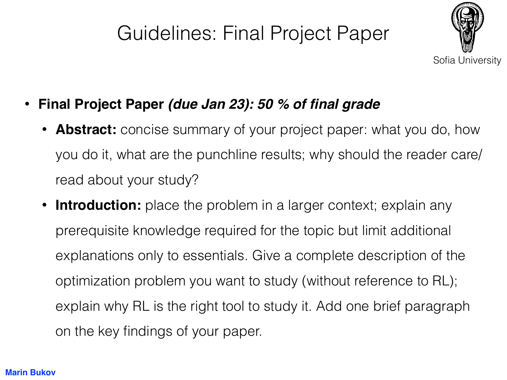## Guidelines: Final Project Paper



- **Final Project Paper** *(due Jan 23): 50 % of final grade*
	- **Abstract:** concise summary of your project paper: what you do, how you do it, what are the punchline results; why should the reader care/ read about your study?
	- **Introduction:** place the problem in a larger context; explain any prerequisite knowledge required for the topic but limit additional explanations only to essentials. Give a complete description of the optimization problem you want to study (without reference to RL); explain why RL is the right tool to study it. Add one brief paragraph on the key findings of your paper.

## **Marin Bukov**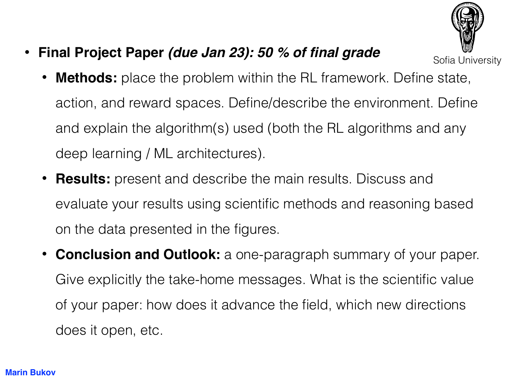

• **Final Project Paper** *(due Jan 23): 50 % of final grade*

Sofia University

- **Methods:** place the problem within the RL framework. Define state, action, and reward spaces. Define/describe the environment. Define and explain the algorithm(s) used (both the RL algorithms and any deep learning / ML architectures).
- **Results:** present and describe the main results. Discuss and evaluate your results using scientific methods and reasoning based on the data presented in the figures.
- **Conclusion and Outlook:** a one-paragraph summary of your paper. Give explicitly the take-home messages. What is the scientific value of your paper: how does it advance the field, which new directions does it open, etc.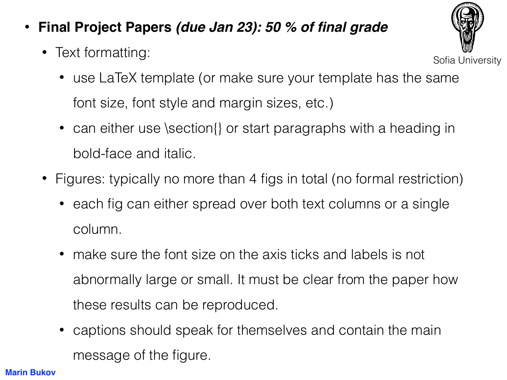- **Final Project Papers** *(due Jan 23): 50 % of final grade*
	- Text formatting:



- use LaTeX template (or make sure your template has the same font size, font style and margin sizes, etc.)
- can either use \section{} or start paragraphs with a heading in bold-face and italic.
- Figures: typically no more than 4 figs in total (no formal restriction)
	- each fig can either spread over both text columns or a single column.
	- make sure the font size on the axis ticks and labels is not abnormally large or small. It must be clear from the paper how these results can be reproduced.
	- captions should speak for themselves and contain the main message of the figure.

## **Marin Bukov**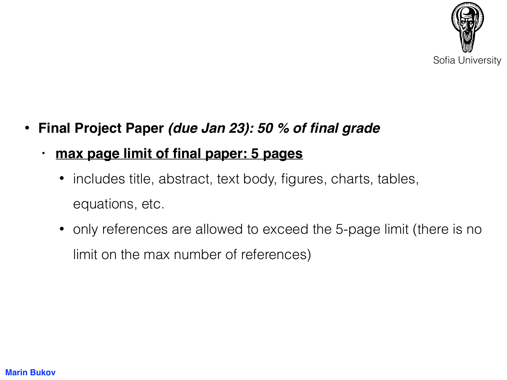

- **Final Project Paper** *(due Jan 23): 50 % of final grade*
	- **• max page limit of final paper: 5 pages**
		- includes title, abstract, text body, figures, charts, tables, equations, etc.
		- only references are allowed to exceed the 5-page limit (there is no limit on the max number of references)